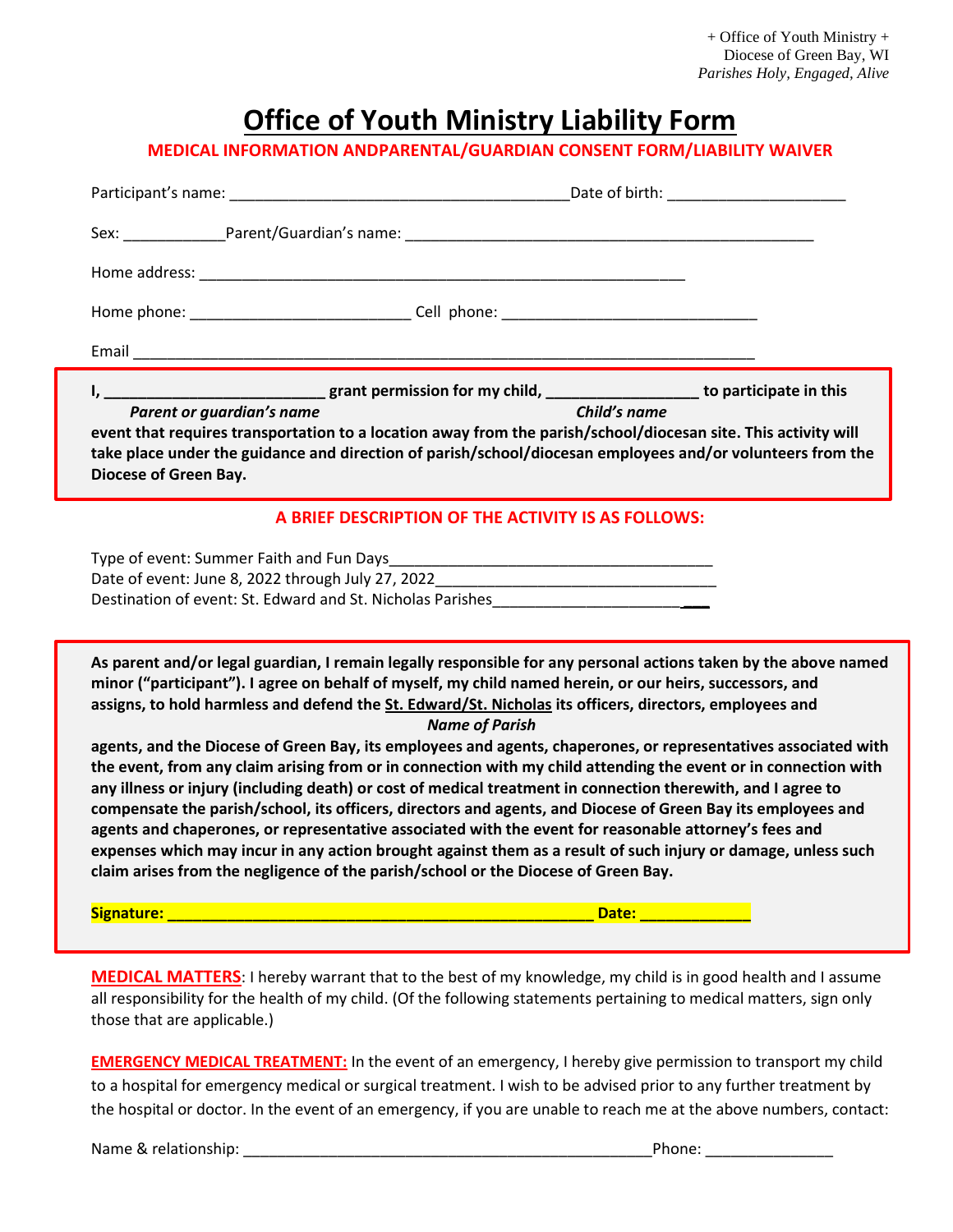+ Office of Youth Ministry + Diocese of Green Bay, WI *Parishes Holy, Engaged, Alive*

## **Office of Youth Ministry Liability Form**

**MEDICAL INFORMATION ANDPARENTAL/GUARDIAN CONSENT FORM/LIABILITY WAIVER**

|                                                                                        | Sex: Parent/Guardian's name: National Contract of the Contract of the Contract of the Parent Contract of the Contract of the Contract of the Contract of the Contract of the Contract of the Contract of the Contract of the C                                                                                                                                                                                                                                                                                                                                                                                                                                                              |  |
|----------------------------------------------------------------------------------------|---------------------------------------------------------------------------------------------------------------------------------------------------------------------------------------------------------------------------------------------------------------------------------------------------------------------------------------------------------------------------------------------------------------------------------------------------------------------------------------------------------------------------------------------------------------------------------------------------------------------------------------------------------------------------------------------|--|
|                                                                                        |                                                                                                                                                                                                                                                                                                                                                                                                                                                                                                                                                                                                                                                                                             |  |
|                                                                                        |                                                                                                                                                                                                                                                                                                                                                                                                                                                                                                                                                                                                                                                                                             |  |
|                                                                                        |                                                                                                                                                                                                                                                                                                                                                                                                                                                                                                                                                                                                                                                                                             |  |
| Diocese of Green Bay.                                                                  | event that requires transportation to a location away from the parish/school/diocesan site. This activity will<br>take place under the guidance and direction of parish/school/diocesan employees and/or volunteers from the                                                                                                                                                                                                                                                                                                                                                                                                                                                                |  |
|                                                                                        | A BRIEF DESCRIPTION OF THE ACTIVITY IS AS FOLLOWS:                                                                                                                                                                                                                                                                                                                                                                                                                                                                                                                                                                                                                                          |  |
|                                                                                        | Date of event: June 8, 2022 through July 27, 2022_______________________________<br>Destination of event: St. Edward and St. Nicholas Parishes                                                                                                                                                                                                                                                                                                                                                                                                                                                                                                                                              |  |
|                                                                                        | As parent and/or legal guardian, I remain legally responsible for any personal actions taken by the above named<br>minor ("participant"). I agree on behalf of myself, my child named herein, or our heirs, successors, and<br>assigns, to hold harmless and defend the St. Edward/St. Nicholas its officers, directors, employees and<br><b>Name of Parish</b>                                                                                                                                                                                                                                                                                                                             |  |
| claim arises from the negligence of the parish/school or the Diocese of Green Bay.     | agents, and the Diocese of Green Bay, its employees and agents, chaperones, or representatives associated with<br>the event, from any claim arising from or in connection with my child attending the event or in connection with<br>any illness or injury (including death) or cost of medical treatment in connection therewith, and I agree to<br>compensate the parish/school, its officers, directors and agents, and Diocese of Green Bay its employees and<br>agents and chaperones, or representative associated with the event for reasonable attorney's fees and<br>expenses which may incur in any action brought against them as a result of such injury or damage, unless such |  |
| Signature: www.astronomia.com/www.astronomia.com/www.astronomia.com/www.astronomia.com | Date: <b>Example 2014</b>                                                                                                                                                                                                                                                                                                                                                                                                                                                                                                                                                                                                                                                                   |  |
|                                                                                        |                                                                                                                                                                                                                                                                                                                                                                                                                                                                                                                                                                                                                                                                                             |  |

**MEDICAL MATTERS**: I hereby warrant that to the best of my knowledge, my child is in good health and I assume all responsibility for the health of my child. (Of the following statements pertaining to medical matters, sign only those that are applicable.)

**EMERGENCY MEDICAL TREATMENT:** In the event of an emergency, I hereby give permission to transport my child to a hospital for emergency medical or surgical treatment. I wish to be advised prior to any further treatment by the hospital or doctor. In the event of an emergency, if you are unable to reach me at the above numbers, contact:

Name & relationship: \_\_\_\_\_\_\_\_\_\_\_\_\_\_\_\_\_\_\_\_\_\_\_\_\_\_\_\_\_\_\_\_\_\_\_\_\_\_\_\_\_\_\_\_\_\_\_\_Phone: \_\_\_\_\_\_\_\_\_\_\_\_\_\_\_